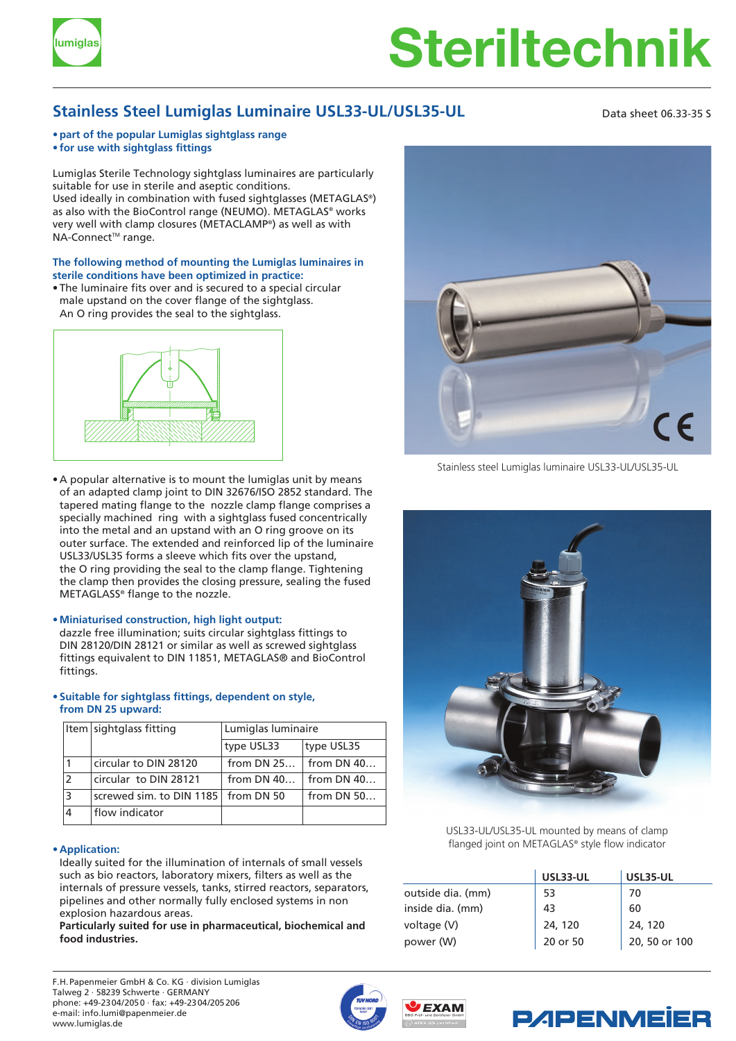

# **Steriltechnik lumiglas**

## **Stainless Steel Lumiglas Luminaire USL33-UL/USL35-UL** Data sheet 06.33-35 S

#### **• part of the popular Lumiglas sightglass range • for use with sightglass fittings**

Lumiglas Sterile Technology sightglass luminaires are particularly suitable for use in sterile and aseptic conditions. Used ideally in combination with fused sightglasses (METAGLAS®) as also with the BioControl range (NEUMO). METAGLAS® works very well with clamp closures (METACLAMP®) as well as with NA-Connect<sup>™</sup> range.

#### **The following method of mounting the Lumiglas luminaires in sterile conditions have been optimized in practice:**

• The luminaire fits over and is secured to a special circular male upstand on the cover flange of the sightglass. An O ring provides the seal to the sightglass.



• A popular alternative is to mount the lumiglas unit by means of an adapted clamp joint to DIN 32676/ISO 2852 standard. The tapered mating flange to the nozzle clamp flange comprises a specially machined ring with a sightglass fused concentrically into the metal and an upstand with an O ring groove on its outer surface. The extended and reinforced lip of the luminaire USL33/USL35 forms a sleeve which fits over the upstand, the O ring providing the seal to the clamp flange. Tightening the clamp then provides the closing pressure, sealing the fused METAGLASS® flange to the nozzle.

### **• Miniaturised construction, high light output:**

dazzle free illumination; suits circular sightglass fittings to DIN 28120/DIN 28121 or similar as well as screwed sightglass fittings equivalent to DIN 11851, METAGLAS® and BioControl fittings.

#### **• Suitable for sightglass fittings, dependent on style, from DN 25 upward:**

|               | Item sightglass fitting               | Lumiglas luminaire |              |
|---------------|---------------------------------------|--------------------|--------------|
|               |                                       | type USL33         | type USL35   |
|               | circular to DIN 28120                 | from $DN$ 25       | from $DN$ 40 |
| $\mathcal{P}$ | circular to DIN 28121                 | from DN $40$       | from DN $40$ |
| 3             | screwed sim. to DIN 1185   from DN 50 |                    | from $DN$ 50 |
|               | flow indicator                        |                    |              |

### **• Application:**

Ideally suited for the illumination of internals of small vessels such as bio reactors, laboratory mixers, filters as well as the internals of pressure vessels, tanks, stirred reactors, separators, pipelines and other normally fully enclosed systems in non explosion hazardous areas.

**Particularly suited for use in pharmaceutical, biochemical and food industries.**



Stainless steel Lumiglas luminaire USL33-UL/USL35-UL



USL33-UL/USL35-UL mounted by means of clamp flanged joint on METAGLAS® style flow indicator

|                   | USL33-UL | <b>USL35-UL</b> |
|-------------------|----------|-----------------|
| outside dia. (mm) | 53       | 70              |
| inside dia. (mm)  | 43       | 60              |
| voltage (V)       | 24, 120  | 24, 120         |
| power (W)         | 20 or 50 | 20, 50 or 100   |

F.H.Papenmeier GmbH & Co. KG · division Lumiglas Talweg 2 · 58239 Schwerte · GERMANY phone: +49-2304/2050 · fax: +49-2304/205206 e-mail: info.lumi@papenmeier.de www.lumiglas.de